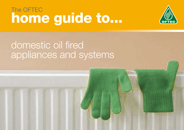# home guide to... The OFTEC



# domestic oil fired appliances and systems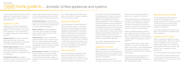This home guide refers to all types of oil fired appliances, including boilers, cookers and stoves and outlines the basic principles of these appliances.

#### Appliance Types

Designed to be strong and long lasting, oil fired appliances are some of the most efficient you can get. There's a huge choice of floor standing or wall mounted boilers for installation inside and outside domestic premises.

**Regular boilers** are basic in their design and simply heat water within a heat exchanger by absorbing the heat contained in flue gases created by the burner.

**Condensing boilers** are highly efficient, boast lower running costs than conventional boilers and must be fitted in most regions to comply with Building Regulations.

**Sealed system boilers** include a circulating pump, expansion vessel and various components needed in a "sealed system" and negate the need for an expansion cistern in the loft space.

**Hearth boilers** can have an electrically operated fire effect in front of them to warm the room, whilst providing central heating from an integral oil fired boiler at the back of the appliance. These can be used to replace solid fuel room heaters and LPG back boilers.

**Combination boilers** are capable of providing hot water on demand, plus heating. They can be space saving in that no hot

water storage cylinder is required. However, minimum water supply pressures and flow rates are required for optimum performance.

**Range cookers** have been available for many years. Some models have integral boilers capable of providing both central heating and hot water.

## The OFTEC  $123$  home guide to... domestic oil fired appliances and systems

**Room heaters or stoves** are available with decorative effect fires burning oil through imitation coals behind a glass front. Some of these will have back boilers capable of providing hot water and/or a central heating service.

Your OFTEC Registered Technician will be able to offer advice on the type of appliance which best suits your needs.

### Appliance Efficiency

Oil fired appliances have rated efficiencies which can be band rated  $(A - C)$  similar to white goods such as fridges and washing machines. An appliance/boiler may have a SEDBUK (Seasonal Efficiency of Domestic Boilers in the UK) rating. In the Republic of Ireland a similar rating system known as HARP (Home Heating Appliance Register of Performance) is in place. Further information on appliance/boiler efficiency ratings can be found at www.sedbuk.com and information on range cooker boilers can be obtained from www.rangeefficiency.com

### SAP and DEAP

New build properties are required to meet regional environmental requirements to control and reduce carbon emissions. In England and Wales this is referred to as SAP (Standard Assessment Procedure), and in

the Republic of Ireland as DEAP (Dwelling Energy Assessment Procedure). These are calculation processes which dictate the efficiency of the appliance to be used. In existing properties, the minimum efficiency of replacement appliances must meet regional Building Regulations requirements. The use of renewable technologies such as solar panels for hot water production can be integrated with oil fired systems to further reduce carbon emissions and help reduce energy bills. This can be in addition to wall, floor and roof insulation, double glazing, draught reduction and use of energy efficient light bulbs.

Your OFTEC Registered Technician will be able to advise you further on this.

#### Appliance Location

When deciding upon a location for an appliance, provisions for system pipework, oil supply pipework, electrical connections, flue terminating positions and ventilation must be taken into consideration.

Open flued appliances draw air for combustion from the room in which they are fitted. They should not be fitted within, or draw air from, a bedroom or bathroom.

Room sealed balanced flue appliances are permitted to be installed within a bathroom or shower room providing that electrical connections are safe and any switches or controls are enclosed so that anyone using the bath or shower cannot touch them.

Modern condensing appliances will emit plume (water vapour) from the flue on cold days. Extra care needs to be taken when siting a condensing flue so as to avoid plume causing nuisance to the property owners or neighbours.

Garages are often used for siting oil fired appliances. To prevent car fumes being drawn into the boiler, a room sealed balanced flued appliance should be used as air for combustion is taken directly from outside via the flue system.

Some oil fired boilers are designed to be installed entirely externally. Others are available that can be installed "through the wall" minimising their impact.

#### Maintenance and Safety

Oil fired appliances should be serviced annually or in accordance with the manufacturers instruction and it is important that service access is provided. Boilers should not be placed where a ladder is needed for maintenance.

Your OFTEC Registered Technician will be able to advise on the most suitable location for your appliance.

#### Systems and Controls

Modern high efficiency appliances require fully pumped systems, which use an electric pump to circulate hot water around your central heating system. If you have an old heating system or perhaps one which uses gravity it must be upgraded to a fully pumped one.

Your OFTEC technician will be able to advise.

Accurate system controls can save money by reducing heat wastage. Reducing room temperature by 1ºC, you can save up to 10% off your annual fuel bill.